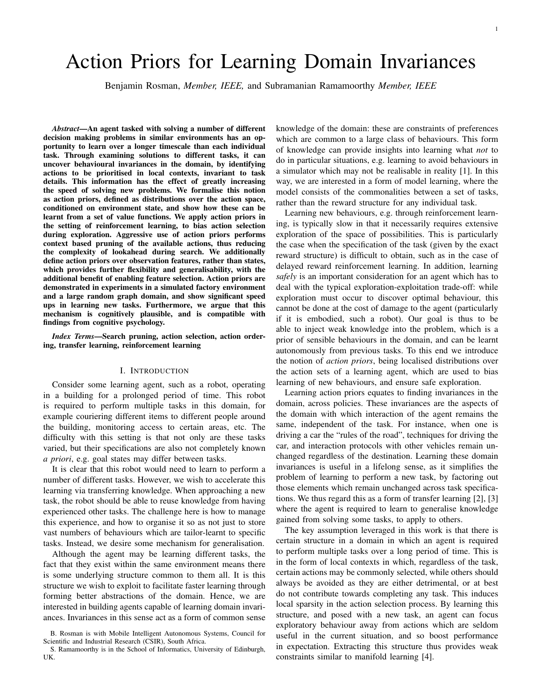# Action Priors for Learning Domain Invariances

Benjamin Rosman, *Member, IEEE,* and Subramanian Ramamoorthy *Member, IEEE*

*Abstract*—An agent tasked with solving a number of different decision making problems in similar environments has an opportunity to learn over a longer timescale than each individual task. Through examining solutions to different tasks, it can uncover behavioural invariances in the domain, by identifying actions to be prioritised in local contexts, invariant to task details. This information has the effect of greatly increasing the speed of solving new problems. We formalise this notion as action priors, defined as distributions over the action space, conditioned on environment state, and show how these can be learnt from a set of value functions. We apply action priors in the setting of reinforcement learning, to bias action selection during exploration. Aggressive use of action priors performs context based pruning of the available actions, thus reducing the complexity of lookahead during search. We additionally define action priors over observation features, rather than states, which provides further flexibility and generalisability, with the additional benefit of enabling feature selection. Action priors are demonstrated in experiments in a simulated factory environment and a large random graph domain, and show significant speed ups in learning new tasks. Furthermore, we argue that this mechanism is cognitively plausible, and is compatible with findings from cognitive psychology.

*Index Terms*—Search pruning, action selection, action ordering, transfer learning, reinforcement learning

#### I. INTRODUCTION

Consider some learning agent, such as a robot, operating in a building for a prolonged period of time. This robot is required to perform multiple tasks in this domain, for example couriering different items to different people around the building, monitoring access to certain areas, etc. The difficulty with this setting is that not only are these tasks varied, but their specifications are also not completely known *a priori*, e.g. goal states may differ between tasks.

It is clear that this robot would need to learn to perform a number of different tasks. However, we wish to accelerate this learning via transferring knowledge. When approaching a new task, the robot should be able to reuse knowledge from having experienced other tasks. The challenge here is how to manage this experience, and how to organise it so as not just to store vast numbers of behaviours which are tailor-learnt to specific tasks. Instead, we desire some mechanism for generalisation.

Although the agent may be learning different tasks, the fact that they exist within the same environment means there is some underlying structure common to them all. It is this structure we wish to exploit to facilitate faster learning through forming better abstractions of the domain. Hence, we are interested in building agents capable of learning domain invariances. Invariances in this sense act as a form of common sense knowledge of the domain: these are constraints of preferences which are common to a large class of behaviours. This form of knowledge can provide insights into learning what *not* to do in particular situations, e.g. learning to avoid behaviours in a simulator which may not be realisable in reality [1]. In this way, we are interested in a form of model learning, where the model consists of the commonalities between a set of tasks, rather than the reward structure for any individual task.

Learning new behaviours, e.g. through reinforcement learning, is typically slow in that it necessarily requires extensive exploration of the space of possibilities. This is particularly the case when the specification of the task (given by the exact reward structure) is difficult to obtain, such as in the case of delayed reward reinforcement learning. In addition, learning *safely* is an important consideration for an agent which has to deal with the typical exploration-exploitation trade-off: while exploration must occur to discover optimal behaviour, this cannot be done at the cost of damage to the agent (particularly if it is embodied, such a robot). Our goal is thus to be able to inject weak knowledge into the problem, which is a prior of sensible behaviours in the domain, and can be learnt autonomously from previous tasks. To this end we introduce the notion of *action priors*, being localised distributions over the action sets of a learning agent, which are used to bias learning of new behaviours, and ensure safe exploration.

Learning action priors equates to finding invariances in the domain, across policies. These invariances are the aspects of the domain with which interaction of the agent remains the same, independent of the task. For instance, when one is driving a car the "rules of the road", techniques for driving the car, and interaction protocols with other vehicles remain unchanged regardless of the destination. Learning these domain invariances is useful in a lifelong sense, as it simplifies the problem of learning to perform a new task, by factoring out those elements which remain unchanged across task specifications. We thus regard this as a form of transfer learning [2], [3] where the agent is required to learn to generalise knowledge gained from solving some tasks, to apply to others.

The key assumption leveraged in this work is that there is certain structure in a domain in which an agent is required to perform multiple tasks over a long period of time. This is in the form of local contexts in which, regardless of the task, certain actions may be commonly selected, while others should always be avoided as they are either detrimental, or at best do not contribute towards completing any task. This induces local sparsity in the action selection process. By learning this structure, and posed with a new task, an agent can focus exploratory behaviour away from actions which are seldom useful in the current situation, and so boost performance in expectation. Extracting this structure thus provides weak constraints similar to manifold learning [4].

B. Rosman is with Mobile Intelligent Autonomous Systems, Council for Scientific and Industrial Research (CSIR), South Africa.

S. Ramamoorthy is in the School of Informatics, University of Edinburgh, UK.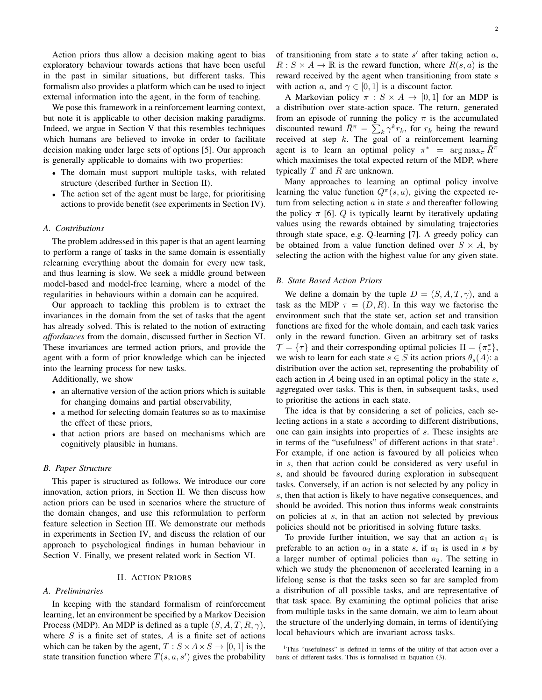Action priors thus allow a decision making agent to bias exploratory behaviour towards actions that have been useful in the past in similar situations, but different tasks. This formalism also provides a platform which can be used to inject external information into the agent, in the form of teaching.

We pose this framework in a reinforcement learning context, but note it is applicable to other decision making paradigms. Indeed, we argue in Section V that this resembles techniques which humans are believed to invoke in order to facilitate decision making under large sets of options [5]. Our approach is generally applicable to domains with two properties:

- The domain must support multiple tasks, with related structure (described further in Section II).
- The action set of the agent must be large, for prioritising actions to provide benefit (see experiments in Section IV).

## *A. Contributions*

The problem addressed in this paper is that an agent learning to perform a range of tasks in the same domain is essentially relearning everything about the domain for every new task, and thus learning is slow. We seek a middle ground between model-based and model-free learning, where a model of the regularities in behaviours within a domain can be acquired.

Our approach to tackling this problem is to extract the invariances in the domain from the set of tasks that the agent has already solved. This is related to the notion of extracting *affordances* from the domain, discussed further in Section VI. These invariances are termed action priors, and provide the agent with a form of prior knowledge which can be injected into the learning process for new tasks.

Additionally, we show

- an alternative version of the action priors which is suitable for changing domains and partial observability,
- a method for selecting domain features so as to maximise the effect of these priors,
- that action priors are based on mechanisms which are cognitively plausible in humans.

#### *B. Paper Structure*

This paper is structured as follows. We introduce our core innovation, action priors, in Section II. We then discuss how action priors can be used in scenarios where the structure of the domain changes, and use this reformulation to perform feature selection in Section III. We demonstrate our methods in experiments in Section IV, and discuss the relation of our approach to psychological findings in human behaviour in Section V. Finally, we present related work in Section VI.

#### II. ACTION PRIORS

#### *A. Preliminaries*

In keeping with the standard formalism of reinforcement learning, let an environment be specified by a Markov Decision Process (MDP). An MDP is defined as a tuple  $(S, A, T, R, \gamma)$ , where  $S$  is a finite set of states,  $A$  is a finite set of actions which can be taken by the agent,  $T : S \times A \times S \rightarrow [0, 1]$  is the state transition function where  $T(s, a, s')$  gives the probability

of transitioning from state  $s$  to state  $s'$  after taking action  $a$ ,  $R: S \times A \rightarrow \mathbb{R}$  is the reward function, where  $R(s, a)$  is the reward received by the agent when transitioning from state s with action a, and  $\gamma \in [0, 1]$  is a discount factor.

A Markovian policy  $\pi : S \times A \rightarrow [0,1]$  for an MDP is a distribution over state-action space. The return, generated from an episode of running the policy  $\pi$  is the accumulated discounted reward  $\bar{R}^{\pi} = \sum_{k} \gamma^{k} r_{k}$ , for  $r_{k}$  being the reward received at step  $k$ . The goal of a reinforcement learning agent is to learn an optimal policy  $\pi^* = \arg \max_{\pi} \overline{R}^{\pi}$ which maximises the total expected return of the MDP, where typically  $T$  and  $R$  are unknown.

Many approaches to learning an optimal policy involve learning the value function  $Q^{\pi}(s, a)$ , giving the expected return from selecting action  $\alpha$  in state  $s$  and thereafter following the policy  $\pi$  [6]. Q is typically learnt by iteratively updating values using the rewards obtained by simulating trajectories through state space, e.g. Q-learning [7]. A greedy policy can be obtained from a value function defined over  $S \times A$ , by selecting the action with the highest value for any given state.

# *B. State Based Action Priors*

We define a domain by the tuple  $D = (S, A, T, \gamma)$ , and a task as the MDP  $\tau = (D, R)$ . In this way we factorise the environment such that the state set, action set and transition functions are fixed for the whole domain, and each task varies only in the reward function. Given an arbitrary set of tasks  $\mathcal{T} = {\tau}$  and their corresponding optimal policies  $\Pi = {\pi^*_{\tau}}$ , we wish to learn for each state  $s \in S$  its action priors  $\theta_s(A)$ : a distribution over the action set, representing the probability of each action in  $A$  being used in an optimal policy in the state  $s$ , aggregated over tasks. This is then, in subsequent tasks, used to prioritise the actions in each state.

The idea is that by considering a set of policies, each selecting actions in a state s according to different distributions, one can gain insights into properties of s. These insights are in terms of the "usefulness" of different actions in that state<sup>1</sup>. For example, if one action is favoured by all policies when in s, then that action could be considered as very useful in s, and should be favoured during exploration in subsequent tasks. Conversely, if an action is not selected by any policy in s, then that action is likely to have negative consequences, and should be avoided. This notion thus informs weak constraints on policies at s, in that an action not selected by previous policies should not be prioritised in solving future tasks.

To provide further intuition, we say that an action  $a_1$  is preferable to an action  $a_2$  in a state s, if  $a_1$  is used in s by a larger number of optimal policies than  $a_2$ . The setting in which we study the phenomenon of accelerated learning in a lifelong sense is that the tasks seen so far are sampled from a distribution of all possible tasks, and are representative of that task space. By examining the optimal policies that arise from multiple tasks in the same domain, we aim to learn about the structure of the underlying domain, in terms of identifying local behaviours which are invariant across tasks.

<sup>1</sup>This "usefulness" is defined in terms of the utility of that action over a bank of different tasks. This is formalised in Equation (3).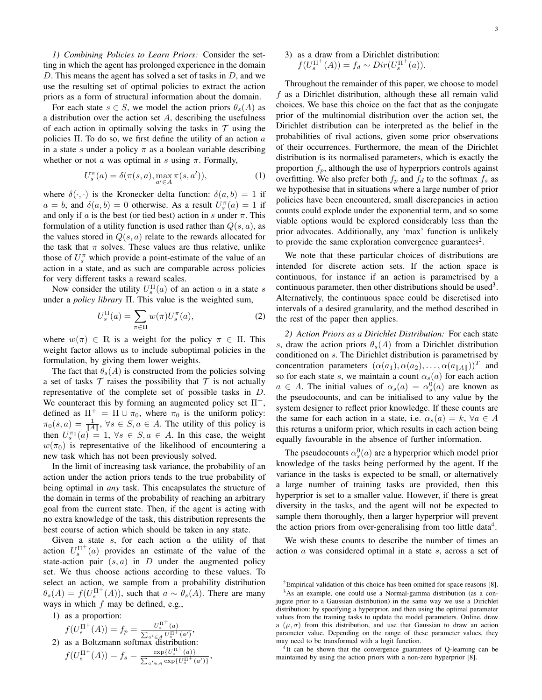*1) Combining Policies to Learn Priors:* Consider the setting in which the agent has prolonged experience in the domain D. This means the agent has solved a set of tasks in  $D$ , and we use the resulting set of optimal policies to extract the action priors as a form of structural information about the domain.

For each state  $s \in S$ , we model the action priors  $\theta_s(A)$  as a distribution over the action set A, describing the usefulness of each action in optimally solving the tasks in  $\mathcal T$  using the policies  $\Pi$ . To do so, we first define the utility of an action  $a$ in a state s under a policy  $\pi$  as a boolean variable describing whether or not a was optimal in s using  $\pi$ . Formally,

$$
U_s^{\pi}(a) = \delta(\pi(s, a), \max_{a' \in A} \pi(s, a')), \qquad (1)
$$

where  $\delta(\cdot, \cdot)$  is the Kronecker delta function:  $\delta(a, b) = 1$  if  $a = b$ , and  $\delta(a, b) = 0$  otherwise. As a result  $U_s^{\pi}(a) = 1$  if and only if a is the best (or tied best) action in s under  $\pi$ . This formulation of a utility function is used rather than  $Q(s, a)$ , as the values stored in  $Q(s, a)$  relate to the rewards allocated for the task that  $\pi$  solves. These values are thus relative, unlike those of  $U_s^{\pi}$  which provide a point-estimate of the value of an action in a state, and as such are comparable across policies for very different tasks a reward scales.

Now consider the utility  $U_s^{\Pi}(a)$  of an action a in a state s under a *policy library* Π. This value is the weighted sum,

$$
U_s^{\Pi}(a) = \sum_{\pi \in \Pi} w(\pi) U_s^{\pi}(a),\tag{2}
$$

where  $w(\pi) \in \mathbb{R}$  is a weight for the policy  $\pi \in \Pi$ . This weight factor allows us to include suboptimal policies in the formulation, by giving them lower weights.

The fact that  $\theta_s(A)$  is constructed from the policies solving a set of tasks  $\mathcal T$  raises the possibility that  $\mathcal T$  is not actually representative of the complete set of possible tasks in D. We counteract this by forming an augmented policy set  $\Pi^+$ , defined as  $\Pi^+ = \Pi \cup \pi_0$ , where  $\pi_0$  is the uniform policy:  $\pi_0(s, a) = \frac{1}{\|A\|}, \forall s \in S, a \in A$ . The utility of this policy is then  $U_s^{\pi_0}(a) = 1$ ,  $\forall s \in S, a \in A$ . In this case, the weight  $w(\pi_0)$  is representative of the likelihood of encountering a new task which has not been previously solved.

In the limit of increasing task variance, the probability of an action under the action priors tends to the true probability of being optimal in *any* task. This encapsulates the structure of the domain in terms of the probability of reaching an arbitrary goal from the current state. Then, if the agent is acting with no extra knowledge of the task, this distribution represents the best course of action which should be taken in any state.

Given a state  $s$ , for each action  $a$  the utility of that action  $U_s^{\Pi^+}(a)$  provides an estimate of the value of the state-action pair  $(s, a)$  in D under the augmented policy set. We thus choose actions according to these values. To select an action, we sample from a probability distribution  $\theta_s(A) = f(U_s^{\Pi^+}(A))$ , such that  $a \sim \theta_s(A)$ . There are many ways in which f may be defined, e.g.,

1) as a proportion:

$$
f(U_s^{\Pi^+}(A)) = f_p = \frac{U_s^{\Pi^+}(a)}{\sum_{a' \in A} U_s^{\Pi^+}(a')}
$$
\n2) as a Boltzmann softmax distribution:  
\n
$$
f(U_s^{\Pi^+}(A)) = f_s = \frac{\exp\{U_s^{\Pi^+}(a)\}}{\sum_{a' \in A} \exp\{U_s^{\Pi^+}(a')\}},
$$

3) as a draw from a Dirichlet distribution:  $f(U_s^{\Pi^+}(A)) = f_d \sim Dir(U_s^{\Pi^+}(a)).$ 

Throughout the remainder of this paper, we choose to model f as a Dirichlet distribution, although these all remain valid choices. We base this choice on the fact that as the conjugate prior of the multinomial distribution over the action set, the Dirichlet distribution can be interpreted as the belief in the probabilities of rival actions, given some prior observations of their occurrences. Furthermore, the mean of the Dirichlet distribution is its normalised parameters, which is exactly the proportion  $f_p$ , although the use of hyperpriors controls against overfitting. We also prefer both  $f_p$  and  $f_d$  to the softmax  $f_s$  as we hypothesise that in situations where a large number of prior policies have been encountered, small discrepancies in action counts could explode under the exponential term, and so some viable options would be explored considerably less than the prior advocates. Additionally, any 'max' function is unlikely to provide the same exploration convergence guarantees<sup>2</sup>.

We note that these particular choices of distributions are intended for discrete action sets. If the action space is continuous, for instance if an action is parametrised by a continuous parameter, then other distributions should be used<sup>3</sup>. Alternatively, the continuous space could be discretised into intervals of a desired granularity, and the method described in the rest of the paper then applies.

*2) Action Priors as a Dirichlet Distribution:* For each state s, draw the action priors  $\theta_s(A)$  from a Dirichlet distribution conditioned on s. The Dirichlet distribution is parametrised by concentration parameters  $(\alpha(a_1), \alpha(a_2), \ldots, \alpha(a_{\|A\|}))^T$  and so for each state s, we maintain a count  $\alpha_s(a)$  for each action  $a \in A$ . The initial values of  $\alpha_s(a) = \alpha_s^0(a)$  are known as the pseudocounts, and can be initialised to any value by the system designer to reflect prior knowledge. If these counts are the same for each action in a state, i.e.  $\alpha_s(a) = k$ ,  $\forall a \in A$ this returns a uniform prior, which results in each action being equally favourable in the absence of further information.

The pseudocounts  $\alpha_s^0(a)$  are a hyperprior which model prior knowledge of the tasks being performed by the agent. If the variance in the tasks is expected to be small, or alternatively a large number of training tasks are provided, then this hyperprior is set to a smaller value. However, if there is great diversity in the tasks, and the agent will not be expected to sample them thoroughly, then a larger hyperprior will prevent the action priors from over-generalising from too little data<sup>4</sup>.

We wish these counts to describe the number of times an action a was considered optimal in a state s, across a set of

<sup>4</sup>It can be shown that the convergence guarantees of Q-learning can be maintained by using the action priors with a non-zero hyperprior [8].

<sup>&</sup>lt;sup>2</sup>Empirical validation of this choice has been omitted for space reasons [8]. <sup>3</sup>As an example, one could use a Normal-gamma distribution (as a con-

jugate prior to a Gaussian distribution) in the same way we use a Dirichlet distribution: by specifying a hyperprior, and then using the optimal parameter values from the training tasks to update the model parameters. Online, draw a  $(\mu, \sigma)$  from this distribution, and use that Gaussian to draw an action parameter value. Depending on the range of these parameter values, they may need to be transformed with a logit function.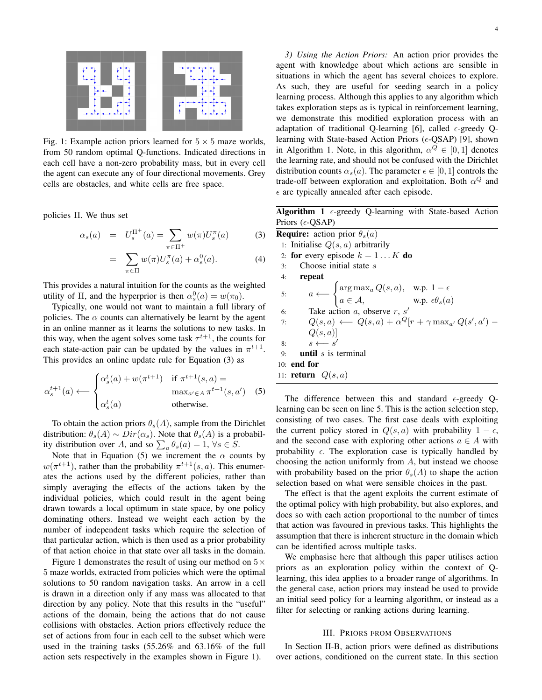

Fig. 1: Example action priors learned for  $5 \times 5$  maze worlds, from 50 random optimal Q-functions. Indicated directions in each cell have a non-zero probability mass, but in every cell the agent can execute any of four directional movements. Grey cells are obstacles, and white cells are free space.

policies Π. We thus set

$$
\alpha_s(a) = U_s^{\Pi^+}(a) = \sum_{\pi \in \Pi^+} w(\pi) U_s^{\pi}(a) \tag{3}
$$

$$
= \sum_{\pi \in \Pi} w(\pi) U_s^{\pi}(a) + \alpha_s^0(a). \tag{4}
$$

This provides a natural intuition for the counts as the weighted utility of  $\Pi$ , and the hyperprior is then  $\alpha_s^0(a) = w(\pi_0)$ .

Typically, one would not want to maintain a full library of policies. The  $\alpha$  counts can alternatively be learnt by the agent in an online manner as it learns the solutions to new tasks. In this way, when the agent solves some task  $\tau^{t+1}$ , the counts for each state-action pair can be updated by the values in  $\pi^{t+1}$ . This provides an online update rule for Equation (3) as

$$
\alpha_s^{t+1}(a) \longleftarrow \begin{cases} \alpha_s^t(a) + w(\pi^{t+1}) & \text{if } \pi^{t+1}(s, a) = \\ \max_{a' \in A} \pi^{t+1}(s, a') & \text{(5)} \\ \alpha_s^t(a) & \text{otherwise.} \end{cases}
$$

To obtain the action priors  $\theta_s(A)$ , sample from the Dirichlet distribution:  $\theta_s(A) \sim Dir(\alpha_s)$ . Note that  $\theta_s(A)$  is a probability distribution over A, and so  $\sum_a \theta_s(a) = 1, \forall s \in S$ .

Note that in Equation (5) we increment the  $\alpha$  counts by  $w(\pi^{t+1})$ , rather than the probability  $\pi^{t+1}(s, a)$ . This enumerates the actions used by the different policies, rather than simply averaging the effects of the actions taken by the individual policies, which could result in the agent being drawn towards a local optimum in state space, by one policy dominating others. Instead we weight each action by the number of independent tasks which require the selection of that particular action, which is then used as a prior probability of that action choice in that state over all tasks in the domain.

Figure 1 demonstrates the result of using our method on  $5\times$ 5 maze worlds, extracted from policies which were the optimal solutions to 50 random navigation tasks. An arrow in a cell is drawn in a direction only if any mass was allocated to that direction by any policy. Note that this results in the "useful" actions of the domain, being the actions that do not cause collisions with obstacles. Action priors effectively reduce the set of actions from four in each cell to the subset which were used in the training tasks (55.26% and 63.16% of the full action sets respectively in the examples shown in Figure 1).

*3) Using the Action Priors:* An action prior provides the agent with knowledge about which actions are sensible in situations in which the agent has several choices to explore. As such, they are useful for seeding search in a policy learning process. Although this applies to any algorithm which takes exploration steps as is typical in reinforcement learning, we demonstrate this modified exploration process with an adaptation of traditional Q-learning [6], called  $\epsilon$ -greedy Q-

learning with State-based Action Priors ( $\epsilon$ -QSAP) [9], shown in Algorithm 1. Note, in this algorithm,  $\alpha^Q \in [0,1]$  denotes the learning rate, and should not be confused with the Dirichlet distribution counts  $\alpha_s(a)$ . The parameter  $\epsilon \in [0, 1]$  controls the trade-off between exploration and exploitation. Both  $\alpha^Q$  and  $\epsilon$  are typically annealed after each episode.

Algorithm 1  $\epsilon$ -greedy Q-learning with State-based Action Priors  $(\epsilon$ -QSAP)

| <b>Require:</b> action prior $\theta_s(a)$ |                                                                                                                                                            |
|--------------------------------------------|------------------------------------------------------------------------------------------------------------------------------------------------------------|
|                                            | 1: Initialise $Q(s, a)$ arbitrarily                                                                                                                        |
|                                            | 2: for every episode $k = 1K$ do                                                                                                                           |
| 3:                                         | Choose initial state s                                                                                                                                     |
|                                            | 4: repeat                                                                                                                                                  |
|                                            | $a \longleftarrow \begin{cases} \arg \max_a Q(s,a), & \text{w.p. } 1-\epsilon \\ a \in \mathcal{A}, & \text{w.p. } \epsilon \theta_s(a) \end{cases}$<br>5: |
|                                            | 6: Take action $a$ , observe $r$ , $s'$                                                                                                                    |
|                                            | 7: $Q(s, a) \leftarrow Q(s, a) + \alpha^Q[r + \gamma \max_{a'} Q(s', a') -$                                                                                |
|                                            | Q(s,a)                                                                                                                                                     |
|                                            | 8: $s \leftarrow s'$                                                                                                                                       |
| 9:                                         | <b>until</b> $s$ is terminal                                                                                                                               |
|                                            | 10: end for                                                                                                                                                |
|                                            | 11: <b>return</b> $Q(s, a)$                                                                                                                                |

The difference between this and standard  $\epsilon$ -greedy Qlearning can be seen on line 5. This is the action selection step, consisting of two cases. The first case deals with exploiting the current policy stored in  $Q(s, a)$  with probability  $1 - \epsilon$ , and the second case with exploring other actions  $a \in A$  with probability  $\epsilon$ . The exploration case is typically handled by choosing the action uniformly from  $A$ , but instead we choose with probability based on the prior  $\theta_s(A)$  to shape the action selection based on what were sensible choices in the past.

The effect is that the agent exploits the current estimate of the optimal policy with high probability, but also explores, and does so with each action proportional to the number of times that action was favoured in previous tasks. This highlights the assumption that there is inherent structure in the domain which can be identified across multiple tasks.

We emphasise here that although this paper utilises action priors as an exploration policy within the context of Qlearning, this idea applies to a broader range of algorithms. In the general case, action priors may instead be used to provide an initial seed policy for a learning algorithm, or instead as a filter for selecting or ranking actions during learning.

#### III. PRIORS FROM OBSERVATIONS

In Section II-B, action priors were defined as distributions over actions, conditioned on the current state. In this section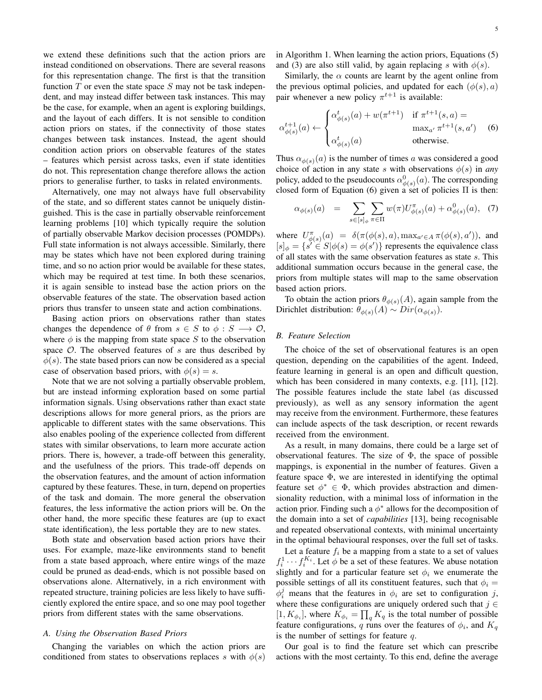we extend these definitions such that the action priors are instead conditioned on observations. There are several reasons for this representation change. The first is that the transition function  $T$  or even the state space  $S$  may not be task independent, and may instead differ between task instances. This may be the case, for example, when an agent is exploring buildings, and the layout of each differs. It is not sensible to condition action priors on states, if the connectivity of those states changes between task instances. Instead, the agent should condition action priors on observable features of the states – features which persist across tasks, even if state identities do not. This representation change therefore allows the action priors to generalise further, to tasks in related environments.

Alternatively, one may not always have full observability of the state, and so different states cannot be uniquely distinguished. This is the case in partially observable reinforcement learning problems [10] which typically require the solution of partially observable Markov decision processes (POMDPs). Full state information is not always accessible. Similarly, there may be states which have not been explored during training time, and so no action prior would be available for these states, which may be required at test time. In both these scenarios, it is again sensible to instead base the action priors on the observable features of the state. The observation based action priors thus transfer to unseen state and action combinations.

Basing action priors on observations rather than states changes the dependence of  $\theta$  from  $s \in S$  to  $\phi : S \longrightarrow \mathcal{O}$ , where  $\phi$  is the mapping from state space S to the observation space  $O$ . The observed features of s are thus described by  $\phi(s)$ . The state based priors can now be considered as a special case of observation based priors, with  $\phi(s) = s$ .

Note that we are not solving a partially observable problem, but are instead informing exploration based on some partial information signals. Using observations rather than exact state descriptions allows for more general priors, as the priors are applicable to different states with the same observations. This also enables pooling of the experience collected from different states with similar observations, to learn more accurate action priors. There is, however, a trade-off between this generality, and the usefulness of the priors. This trade-off depends on the observation features, and the amount of action information captured by these features. These, in turn, depend on properties of the task and domain. The more general the observation features, the less informative the action priors will be. On the other hand, the more specific these features are (up to exact state identification), the less portable they are to new states.

Both state and observation based action priors have their uses. For example, maze-like environments stand to benefit from a state based approach, where entire wings of the maze could be pruned as dead-ends, which is not possible based on observations alone. Alternatively, in a rich environment with repeated structure, training policies are less likely to have sufficiently explored the entire space, and so one may pool together priors from different states with the same observations.

#### *A. Using the Observation Based Priors*

Changing the variables on which the action priors are conditioned from states to observations replaces s with  $\phi(s)$  in Algorithm 1. When learning the action priors, Equations (5) and (3) are also still valid, by again replacing s with  $\phi(s)$ .

Similarly, the  $\alpha$  counts are learnt by the agent online from the previous optimal policies, and updated for each  $(\phi(s), a)$ pair whenever a new policy  $\pi^{t+1}$  is available:

$$
\alpha_{\phi(s)}^{t+1}(a) \leftarrow \begin{cases} \alpha_{\phi(s)}^t(a) + w(\pi^{t+1}) & \text{if } \pi^{t+1}(s, a) = \\ \max_{a'} \pi^{t+1}(s, a') \\ \alpha_{\phi(s)}^t(a) & \text{otherwise.} \end{cases}
$$
(6)

Thus  $\alpha_{\phi(s)}(a)$  is the number of times a was considered a good choice of action in any state s with observations  $\phi(s)$  in *any* policy, added to the pseudocounts  $\alpha_{\phi(s)}^0(a)$ . The corresponding closed form of Equation (6) given a set of policies  $\Pi$  is then:

$$
\alpha_{\phi(s)}(a) = \sum_{s \in [s]_{\phi}} \sum_{\pi \in \Pi} w(\pi) U_{\phi(s)}^{\pi}(a) + \alpha_{\phi(s)}^{0}(a), \quad (7)
$$

where  $U^{\pi}_{\phi(s)}(a) = \delta(\pi(\phi(s), a), \max_{a' \in A} \pi(\phi(s), a'))$ , and  $[s]_{\phi} = \{s' \in S | \phi(s) = \phi(s')\}$  represents the equivalence class of all states with the same observation features as state s. This additional summation occurs because in the general case, the priors from multiple states will map to the same observation based action priors.

To obtain the action priors  $\theta_{\phi(s)}(A)$ , again sample from the Dirichlet distribution:  $\theta_{\phi(s)}(A) \sim Dir(\alpha_{\phi(s)})$ .

## *B. Feature Selection*

The choice of the set of observational features is an open question, depending on the capabilities of the agent. Indeed, feature learning in general is an open and difficult question, which has been considered in many contexts, e.g. [11], [12]. The possible features include the state label (as discussed previously), as well as any sensory information the agent may receive from the environment. Furthermore, these features can include aspects of the task description, or recent rewards received from the environment.

As a result, in many domains, there could be a large set of observational features. The size of  $\Phi$ , the space of possible mappings, is exponential in the number of features. Given a feature space Φ, we are interested in identifying the optimal feature set  $\phi^* \in \Phi$ , which provides abstraction and dimensionality reduction, with a minimal loss of information in the action prior. Finding such a  $\phi^*$  allows for the decomposition of the domain into a set of *capabilities* [13], being recognisable and repeated observational contexts, with minimal uncertainty in the optimal behavioural responses, over the full set of tasks.

Let a feature  $f_i$  be a mapping from a state to a set of values  $f_i^1 \cdots f_i^{K_i}$ . Let  $\phi$  be a set of these features. We abuse notation slightly and for a particular feature set  $\phi_i$  we enumerate the possible settings of all its constituent features, such that  $\phi_i =$  $\phi_i^j$  means that the features in  $\phi_i$  are set to configuration j, where these configurations are uniquely ordered such that  $j \in$  $[1, K_{\phi_i}]$ , where  $K_{\phi_i} = \prod_q K_q$  is the total number of possible feature configurations, q runs over the features of  $\phi_i$ , and  $K_q$ is the number of settings for feature  $q$ .

Our goal is to find the feature set which can prescribe actions with the most certainty. To this end, define the average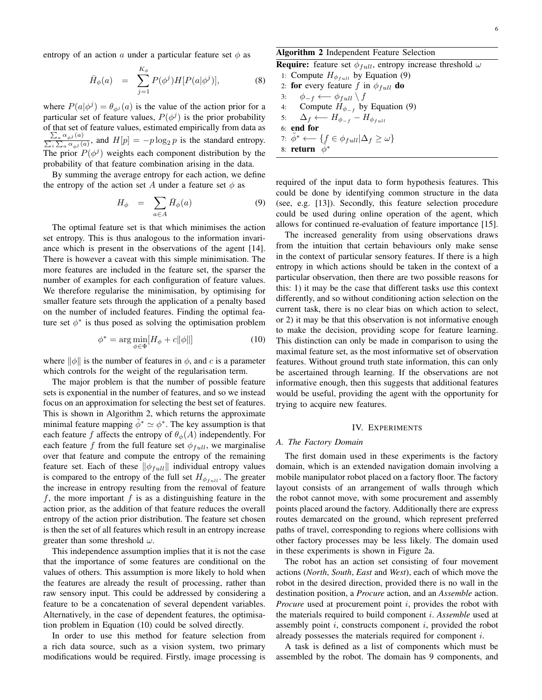entropy of an action a under a particular feature set  $\phi$  as

$$
\bar{H}_{\phi}(a) = \sum_{j=1}^{K_{\phi}} P(\phi^j) H[P(a|\phi^j)], \qquad (8)
$$

where  $P(a|\phi^j) = \theta_{\phi^j}(a)$  is the value of the action prior for a particular set of feature values,  $P(\phi^j)$  is the prior probability of that set of feature values, estimated empirically from data as <sup>P</sup>  $\frac{\sum_a \alpha_{\phi}(\alpha)}{\sum_i \sum_a \alpha_{\phi}(\alpha)}$ , and  $H[p] = -p \log_2 p$  is the standard entropy. The prior  $P(\phi^j)$  weights each component distribution by the probability of that feature combination arising in the data.

By summing the average entropy for each action, we define the entropy of the action set A under a feature set  $\phi$  as

$$
H_{\phi} = \sum_{a \in A} \bar{H}_{\phi}(a) \tag{9}
$$

The optimal feature set is that which minimises the action set entropy. This is thus analogous to the information invariance which is present in the observations of the agent [14]. There is however a caveat with this simple minimisation. The more features are included in the feature set, the sparser the number of examples for each configuration of feature values. We therefore regularise the minimisation, by optimising for smaller feature sets through the application of a penalty based on the number of included features. Finding the optimal feature set  $\phi^*$  is thus posed as solving the optimisation problem

$$
\phi^* = \arg \min_{\phi \in \Phi} [H_\phi + c \|\phi\|] \tag{10}
$$

where  $\|\phi\|$  is the number of features in  $\phi$ , and c is a parameter which controls for the weight of the regularisation term.

The major problem is that the number of possible feature sets is exponential in the number of features, and so we instead focus on an approximation for selecting the best set of features. This is shown in Algorithm 2, which returns the approximate minimal feature mapping  $\tilde{\phi}^* \simeq \phi^*$ . The key assumption is that each feature f affects the entropy of  $\theta_{\phi}(A)$  independently. For each feature f from the full feature set  $\phi_{full}$ , we marginalise over that feature and compute the entropy of the remaining feature set. Each of these  $\|\phi_{full}\|$  individual entropy values is compared to the entropy of the full set  $H_{\phi_{full}}$ . The greater the increase in entropy resulting from the removal of feature f, the more important f is as a distinguishing feature in the action prior, as the addition of that feature reduces the overall entropy of the action prior distribution. The feature set chosen is then the set of all features which result in an entropy increase greater than some threshold  $\omega$ .

This independence assumption implies that it is not the case that the importance of some features are conditional on the values of others. This assumption is more likely to hold when the features are already the result of processing, rather than raw sensory input. This could be addressed by considering a feature to be a concatenation of several dependent variables. Alternatively, in the case of dependent features, the optimisation problem in Equation (10) could be solved directly.

In order to use this method for feature selection from a rich data source, such as a vision system, two primary modifications would be required. Firstly, image processing is

# Algorithm 2 Independent Feature Selection

**Require:** feature set  $\phi_{full}$ , entropy increase threshold  $\omega$ 1: Compute  $H_{\phi_{full}}$  by Equation (9) 2: for every feature f in  $\phi_{full}$  do 3:  $\phi_{-f} \longleftarrow \phi_{full} \setminus f$ 4: Compute  $H_{\phi_{-f}}$  by Equation (9) 5:  $\Delta_f \leftarrow H_{\phi_{-f}} - H_{\phi_{full}}$ 6: end for 7:  $\tilde{\phi}^* \longleftarrow \{f \in \phi_{full} | \Delta_f \geq \omega\}$ 8: return  $\phi^*$ 

required of the input data to form hypothesis features. This could be done by identifying common structure in the data (see, e.g. [13]). Secondly, this feature selection procedure could be used during online operation of the agent, which allows for continued re-evaluation of feature importance [15].

The increased generality from using observations draws from the intuition that certain behaviours only make sense in the context of particular sensory features. If there is a high entropy in which actions should be taken in the context of a particular observation, then there are two possible reasons for this: 1) it may be the case that different tasks use this context differently, and so without conditioning action selection on the current task, there is no clear bias on which action to select, or 2) it may be that this observation is not informative enough to make the decision, providing scope for feature learning. This distinction can only be made in comparison to using the maximal feature set, as the most informative set of observation features. Without ground truth state information, this can only be ascertained through learning. If the observations are not informative enough, then this suggests that additional features would be useful, providing the agent with the opportunity for trying to acquire new features.

#### IV. EXPERIMENTS

#### *A. The Factory Domain*

The first domain used in these experiments is the factory domain, which is an extended navigation domain involving a mobile manipulator robot placed on a factory floor. The factory layout consists of an arrangement of walls through which the robot cannot move, with some procurement and assembly points placed around the factory. Additionally there are express routes demarcated on the ground, which represent preferred paths of travel, corresponding to regions where collisions with other factory processes may be less likely. The domain used in these experiments is shown in Figure 2a.

The robot has an action set consisting of four movement actions (*North*, *South*, *East* and *West*), each of which move the robot in the desired direction, provided there is no wall in the destination position, a *Procure* action, and an *Assemble* action. *Procure* used at procurement point *i*, provides the robot with the materials required to build component i. *Assemble* used at assembly point  $i$ , constructs component  $i$ , provided the robot already possesses the materials required for component i.

A task is defined as a list of components which must be assembled by the robot. The domain has 9 components, and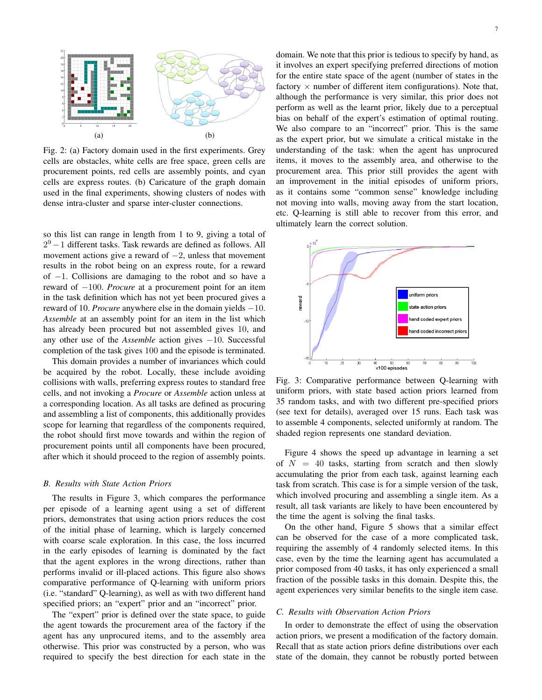

Fig. 2: (a) Factory domain used in the first experiments. Grey cells are obstacles, white cells are free space, green cells are procurement points, red cells are assembly points, and cyan cells are express routes. (b) Caricature of the graph domain used in the final experiments, showing clusters of nodes with dense intra-cluster and sparse inter-cluster connections.

so this list can range in length from 1 to 9, giving a total of  $2<sup>9</sup> - 1$  different tasks. Task rewards are defined as follows. All movement actions give a reward of  $-2$ , unless that movement results in the robot being on an express route, for a reward of −1. Collisions are damaging to the robot and so have a reward of −100. *Procure* at a procurement point for an item in the task definition which has not yet been procured gives a reward of 10. *Procure* anywhere else in the domain yields −10. *Assemble* at an assembly point for an item in the list which has already been procured but not assembled gives 10, and any other use of the *Assemble* action gives −10. Successful completion of the task gives 100 and the episode is terminated.

This domain provides a number of invariances which could be acquired by the robot. Locally, these include avoiding collisions with walls, preferring express routes to standard free cells, and not invoking a *Procure* or *Assemble* action unless at a corresponding location. As all tasks are defined as procuring and assembling a list of components, this additionally provides scope for learning that regardless of the components required, the robot should first move towards and within the region of procurement points until all components have been procured, after which it should proceed to the region of assembly points.

## *B. Results with State Action Priors*

The results in Figure 3, which compares the performance per episode of a learning agent using a set of different priors, demonstrates that using action priors reduces the cost of the initial phase of learning, which is largely concerned with coarse scale exploration. In this case, the loss incurred in the early episodes of learning is dominated by the fact that the agent explores in the wrong directions, rather than performs invalid or ill-placed actions. This figure also shows comparative performance of Q-learning with uniform priors (i.e. "standard" Q-learning), as well as with two different hand specified priors; an "expert" prior and an "incorrect" prior.

The "expert" prior is defined over the state space, to guide the agent towards the procurement area of the factory if the agent has any unprocured items, and to the assembly area otherwise. This prior was constructed by a person, who was required to specify the best direction for each state in the

domain. We note that this prior is tedious to specify by hand, as it involves an expert specifying preferred directions of motion for the entire state space of the agent (number of states in the factory  $\times$  number of different item configurations). Note that, although the performance is very similar, this prior does not perform as well as the learnt prior, likely due to a perceptual bias on behalf of the expert's estimation of optimal routing. We also compare to an "incorrect" prior. This is the same as the expert prior, but we simulate a critical mistake in the understanding of the task: when the agent has unprocured items, it moves to the assembly area, and otherwise to the procurement area. This prior still provides the agent with an improvement in the initial episodes of uniform priors, as it contains some "common sense" knowledge including not moving into walls, moving away from the start location, etc. Q-learning is still able to recover from this error, and ultimately learn the correct solution.



Fig. 3: Comparative performance between Q-learning with uniform priors, with state based action priors learned from 35 random tasks, and with two different pre-specified priors (see text for details), averaged over 15 runs. Each task was to assemble 4 components, selected uniformly at random. The shaded region represents one standard deviation.

Figure 4 shows the speed up advantage in learning a set of  $N = 40$  tasks, starting from scratch and then slowly accumulating the prior from each task, against learning each task from scratch. This case is for a simple version of the task, which involved procuring and assembling a single item. As a result, all task variants are likely to have been encountered by the time the agent is solving the final tasks.

On the other hand, Figure 5 shows that a similar effect can be observed for the case of a more complicated task, requiring the assembly of 4 randomly selected items. In this case, even by the time the learning agent has accumulated a prior composed from 40 tasks, it has only experienced a small fraction of the possible tasks in this domain. Despite this, the agent experiences very similar benefits to the single item case.

# *C. Results with Observation Action Priors*

In order to demonstrate the effect of using the observation action priors, we present a modification of the factory domain. Recall that as state action priors define distributions over each state of the domain, they cannot be robustly ported between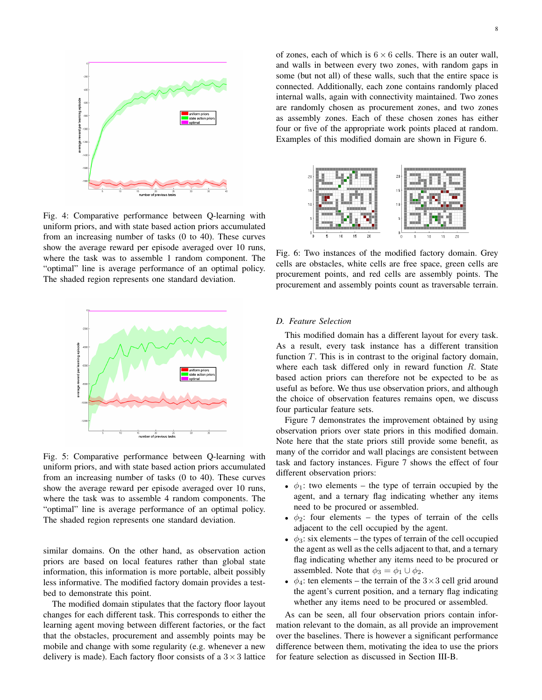

Fig. 4: Comparative performance between Q-learning with uniform priors, and with state based action priors accumulated from an increasing number of tasks (0 to 40). These curves show the average reward per episode averaged over 10 runs, where the task was to assemble 1 random component. The "optimal" line is average performance of an optimal policy. The shaded region represents one standard deviation.



Fig. 5: Comparative performance between Q-learning with uniform priors, and with state based action priors accumulated from an increasing number of tasks (0 to 40). These curves show the average reward per episode averaged over 10 runs, where the task was to assemble 4 random components. The "optimal" line is average performance of an optimal policy. The shaded region represents one standard deviation.

similar domains. On the other hand, as observation action priors are based on local features rather than global state information, this information is more portable, albeit possibly less informative. The modified factory domain provides a testbed to demonstrate this point.

The modified domain stipulates that the factory floor layout changes for each different task. This corresponds to either the learning agent moving between different factories, or the fact that the obstacles, procurement and assembly points may be mobile and change with some regularity (e.g. whenever a new delivery is made). Each factory floor consists of a  $3 \times 3$  lattice

of zones, each of which is  $6 \times 6$  cells. There is an outer wall, and walls in between every two zones, with random gaps in some (but not all) of these walls, such that the entire space is connected. Additionally, each zone contains randomly placed internal walls, again with connectivity maintained. Two zones are randomly chosen as procurement zones, and two zones as assembly zones. Each of these chosen zones has either four or five of the appropriate work points placed at random. Examples of this modified domain are shown in Figure 6.



Fig. 6: Two instances of the modified factory domain. Grey cells are obstacles, white cells are free space, green cells are procurement points, and red cells are assembly points. The procurement and assembly points count as traversable terrain.

# *D. Feature Selection*

This modified domain has a different layout for every task. As a result, every task instance has a different transition function  $T$ . This is in contrast to the original factory domain, where each task differed only in reward function  $R$ . State based action priors can therefore not be expected to be as useful as before. We thus use observation priors, and although the choice of observation features remains open, we discuss four particular feature sets.

Figure 7 demonstrates the improvement obtained by using observation priors over state priors in this modified domain. Note here that the state priors still provide some benefit, as many of the corridor and wall placings are consistent between task and factory instances. Figure 7 shows the effect of four different observation priors:

- $\phi_1$ : two elements the type of terrain occupied by the agent, and a ternary flag indicating whether any items need to be procured or assembled.
- $\phi_2$ : four elements the types of terrain of the cells adjacent to the cell occupied by the agent.
- $\phi_3$ : six elements the types of terrain of the cell occupied the agent as well as the cells adjacent to that, and a ternary flag indicating whether any items need to be procured or assembled. Note that  $\phi_3 = \phi_1 \cup \phi_2$ .
- $\phi_4$ : ten elements the terrain of the  $3 \times 3$  cell grid around the agent's current position, and a ternary flag indicating whether any items need to be procured or assembled.

As can be seen, all four observation priors contain information relevant to the domain, as all provide an improvement over the baselines. There is however a significant performance difference between them, motivating the idea to use the priors for feature selection as discussed in Section III-B.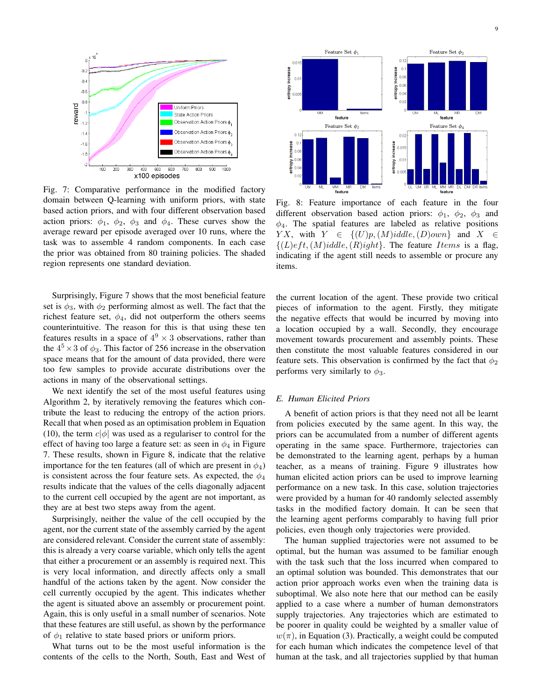

Fig. 7: Comparative performance in the modified factory domain between Q-learning with uniform priors, with state based action priors, and with four different observation based action priors:  $\phi_1$ ,  $\phi_2$ ,  $\phi_3$  and  $\phi_4$ . These curves show the average reward per episode averaged over 10 runs, where the task was to assemble 4 random components. In each case the prior was obtained from 80 training policies. The shaded region represents one standard deviation.

Surprisingly, Figure 7 shows that the most beneficial feature set is  $\phi_3$ , with  $\phi_2$  performing almost as well. The fact that the richest feature set,  $\phi_4$ , did not outperform the others seems counterintuitive. The reason for this is that using these ten features results in a space of  $4^9 \times 3$  observations, rather than the  $4^5 \times 3$  of  $\phi_3$ . This factor of 256 increase in the observation space means that for the amount of data provided, there were too few samples to provide accurate distributions over the actions in many of the observational settings.

We next identify the set of the most useful features using Algorithm 2, by iteratively removing the features which contribute the least to reducing the entropy of the action priors. Recall that when posed as an optimisation problem in Equation (10), the term  $c|\phi|$  was used as a regulariser to control for the effect of having too large a feature set: as seen in  $\phi_4$  in Figure 7. These results, shown in Figure 8, indicate that the relative importance for the ten features (all of which are present in  $\phi_4$ ) is consistent across the four feature sets. As expected, the  $\phi_4$ results indicate that the values of the cells diagonally adjacent to the current cell occupied by the agent are not important, as they are at best two steps away from the agent.

Surprisingly, neither the value of the cell occupied by the agent, nor the current state of the assembly carried by the agent are considered relevant. Consider the current state of assembly: this is already a very coarse variable, which only tells the agent that either a procurement or an assembly is required next. This is very local information, and directly affects only a small handful of the actions taken by the agent. Now consider the cell currently occupied by the agent. This indicates whether the agent is situated above an assembly or procurement point. Again, this is only useful in a small number of scenarios. Note that these features are still useful, as shown by the performance of  $\phi_1$  relative to state based priors or uniform priors.

What turns out to be the most useful information is the contents of the cells to the North, South, East and West of



Fig. 8: Feature importance of each feature in the four different observation based action priors:  $\phi_1$ ,  $\phi_2$ ,  $\phi_3$  and  $\phi_4$ . The spatial features are labeled as relative positions  $Y X$ , with  $Y \in \{(U)p,(M)$ iddle,  $(D)$ own and  $X \in$  $\{(L) eft, (M) iddle, (R) iqht \}$ . The feature Items is a flag, indicating if the agent still needs to assemble or procure any items.

the current location of the agent. These provide two critical pieces of information to the agent. Firstly, they mitigate the negative effects that would be incurred by moving into a location occupied by a wall. Secondly, they encourage movement towards procurement and assembly points. These then constitute the most valuable features considered in our feature sets. This observation is confirmed by the fact that  $\phi_2$ performs very similarly to  $\phi_3$ .

# *E. Human Elicited Priors*

A benefit of action priors is that they need not all be learnt from policies executed by the same agent. In this way, the priors can be accumulated from a number of different agents operating in the same space. Furthermore, trajectories can be demonstrated to the learning agent, perhaps by a human teacher, as a means of training. Figure 9 illustrates how human elicited action priors can be used to improve learning performance on a new task. In this case, solution trajectories were provided by a human for 40 randomly selected assembly tasks in the modified factory domain. It can be seen that the learning agent performs comparably to having full prior policies, even though only trajectories were provided.

The human supplied trajectories were not assumed to be optimal, but the human was assumed to be familiar enough with the task such that the loss incurred when compared to an optimal solution was bounded. This demonstrates that our action prior approach works even when the training data is suboptimal. We also note here that our method can be easily applied to a case where a number of human demonstrators supply trajectories. Any trajectories which are estimated to be poorer in quality could be weighted by a smaller value of  $w(\pi)$ , in Equation (3). Practically, a weight could be computed for each human which indicates the competence level of that human at the task, and all trajectories supplied by that human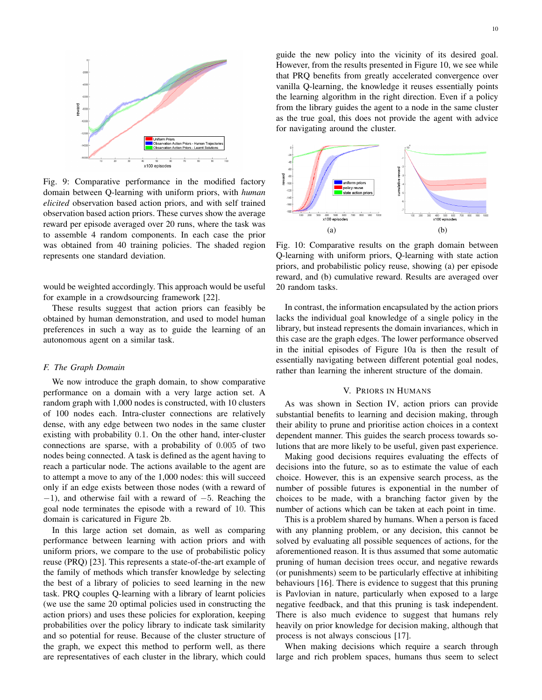

Fig. 9: Comparative performance in the modified factory domain between Q-learning with uniform priors, with *human elicited* observation based action priors, and with self trained observation based action priors. These curves show the average reward per episode averaged over 20 runs, where the task was to assemble 4 random components. In each case the prior was obtained from 40 training policies. The shaded region represents one standard deviation.

would be weighted accordingly. This approach would be useful for example in a crowdsourcing framework [22].

These results suggest that action priors can feasibly be obtained by human demonstration, and used to model human preferences in such a way as to guide the learning of an autonomous agent on a similar task.

#### *F. The Graph Domain*

We now introduce the graph domain, to show comparative performance on a domain with a very large action set. A random graph with 1,000 nodes is constructed, with 10 clusters of 100 nodes each. Intra-cluster connections are relatively dense, with any edge between two nodes in the same cluster existing with probability 0.1. On the other hand, inter-cluster connections are sparse, with a probability of 0.005 of two nodes being connected. A task is defined as the agent having to reach a particular node. The actions available to the agent are to attempt a move to any of the 1,000 nodes: this will succeed only if an edge exists between those nodes (with a reward of  $-1$ ), and otherwise fail with a reward of  $-5$ . Reaching the goal node terminates the episode with a reward of 10. This domain is caricatured in Figure 2b.

In this large action set domain, as well as comparing performance between learning with action priors and with uniform priors, we compare to the use of probabilistic policy reuse (PRQ) [23]. This represents a state-of-the-art example of the family of methods which transfer knowledge by selecting the best of a library of policies to seed learning in the new task. PRQ couples Q-learning with a library of learnt policies (we use the same 20 optimal policies used in constructing the action priors) and uses these policies for exploration, keeping probabilities over the policy library to indicate task similarity and so potential for reuse. Because of the cluster structure of the graph, we expect this method to perform well, as there are representatives of each cluster in the library, which could

guide the new policy into the vicinity of its desired goal. However, from the results presented in Figure 10, we see while that PRQ benefits from greatly accelerated convergence over vanilla Q-learning, the knowledge it reuses essentially points the learning algorithm in the right direction. Even if a policy from the library guides the agent to a node in the same cluster as the true goal, this does not provide the agent with advice for navigating around the cluster.



Fig. 10: Comparative results on the graph domain between Q-learning with uniform priors, Q-learning with state action priors, and probabilistic policy reuse, showing (a) per episode reward, and (b) cumulative reward. Results are averaged over 20 random tasks.

In contrast, the information encapsulated by the action priors lacks the individual goal knowledge of a single policy in the library, but instead represents the domain invariances, which in this case are the graph edges. The lower performance observed in the initial episodes of Figure 10a is then the result of essentially navigating between different potential goal nodes, rather than learning the inherent structure of the domain.

## V. PRIORS IN HUMANS

As was shown in Section IV, action priors can provide substantial benefits to learning and decision making, through their ability to prune and prioritise action choices in a context dependent manner. This guides the search process towards solutions that are more likely to be useful, given past experience.

Making good decisions requires evaluating the effects of decisions into the future, so as to estimate the value of each choice. However, this is an expensive search process, as the number of possible futures is exponential in the number of choices to be made, with a branching factor given by the number of actions which can be taken at each point in time.

This is a problem shared by humans. When a person is faced with any planning problem, or any decision, this cannot be solved by evaluating all possible sequences of actions, for the aforementioned reason. It is thus assumed that some automatic pruning of human decision trees occur, and negative rewards (or punishments) seem to be particularly effective at inhibiting behaviours [16]. There is evidence to suggest that this pruning is Pavlovian in nature, particularly when exposed to a large negative feedback, and that this pruning is task independent. There is also much evidence to suggest that humans rely heavily on prior knowledge for decision making, although that process is not always conscious [17].

When making decisions which require a search through large and rich problem spaces, humans thus seem to select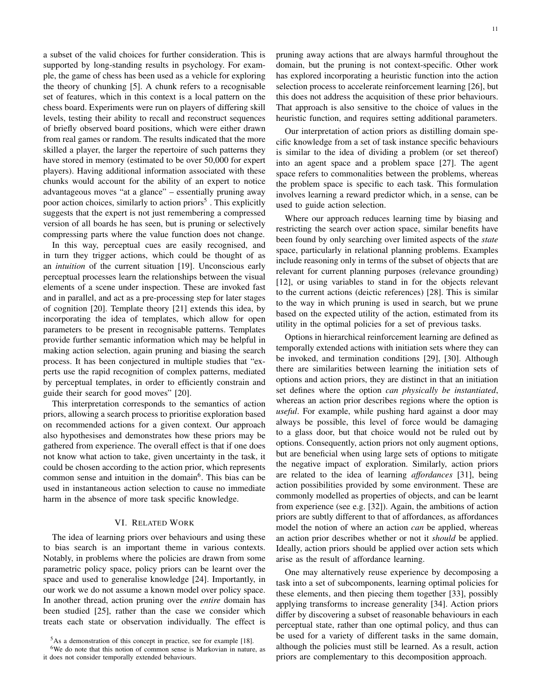a subset of the valid choices for further consideration. This is supported by long-standing results in psychology. For example, the game of chess has been used as a vehicle for exploring the theory of chunking [5]. A chunk refers to a recognisable set of features, which in this context is a local pattern on the chess board. Experiments were run on players of differing skill levels, testing their ability to recall and reconstruct sequences of briefly observed board positions, which were either drawn from real games or random. The results indicated that the more skilled a player, the larger the repertoire of such patterns they have stored in memory (estimated to be over 50,000 for expert players). Having additional information associated with these chunks would account for the ability of an expert to notice advantageous moves "at a glance" – essentially pruning away poor action choices, similarly to action priors<sup>5</sup>. This explicitly suggests that the expert is not just remembering a compressed version of all boards he has seen, but is pruning or selectively compressing parts where the value function does not change.

In this way, perceptual cues are easily recognised, and in turn they trigger actions, which could be thought of as an *intuition* of the current situation [19]. Unconscious early perceptual processes learn the relationships between the visual elements of a scene under inspection. These are invoked fast and in parallel, and act as a pre-processing step for later stages of cognition [20]. Template theory [21] extends this idea, by incorporating the idea of templates, which allow for open parameters to be present in recognisable patterns. Templates provide further semantic information which may be helpful in making action selection, again pruning and biasing the search process. It has been conjectured in multiple studies that "experts use the rapid recognition of complex patterns, mediated by perceptual templates, in order to efficiently constrain and guide their search for good moves" [20].

This interpretation corresponds to the semantics of action priors, allowing a search process to prioritise exploration based on recommended actions for a given context. Our approach also hypothesises and demonstrates how these priors may be gathered from experience. The overall effect is that if one does not know what action to take, given uncertainty in the task, it could be chosen according to the action prior, which represents common sense and intuition in the domain<sup>6</sup>. This bias can be used in instantaneous action selection to cause no immediate harm in the absence of more task specific knowledge.

## VI. RELATED WORK

The idea of learning priors over behaviours and using these to bias search is an important theme in various contexts. Notably, in problems where the policies are drawn from some parametric policy space, policy priors can be learnt over the space and used to generalise knowledge [24]. Importantly, in our work we do not assume a known model over policy space. In another thread, action pruning over the *entire* domain has been studied [25], rather than the case we consider which treats each state or observation individually. The effect is pruning away actions that are always harmful throughout the domain, but the pruning is not context-specific. Other work has explored incorporating a heuristic function into the action selection process to accelerate reinforcement learning [26], but this does not address the acquisition of these prior behaviours. That approach is also sensitive to the choice of values in the heuristic function, and requires setting additional parameters.

Our interpretation of action priors as distilling domain specific knowledge from a set of task instance specific behaviours is similar to the idea of dividing a problem (or set thereof) into an agent space and a problem space [27]. The agent space refers to commonalities between the problems, whereas the problem space is specific to each task. This formulation involves learning a reward predictor which, in a sense, can be used to guide action selection.

Where our approach reduces learning time by biasing and restricting the search over action space, similar benefits have been found by only searching over limited aspects of the *state* space, particularly in relational planning problems. Examples include reasoning only in terms of the subset of objects that are relevant for current planning purposes (relevance grounding) [12], or using variables to stand in for the objects relevant to the current actions (deictic references) [28]. This is similar to the way in which pruning is used in search, but we prune based on the expected utility of the action, estimated from its utility in the optimal policies for a set of previous tasks.

Options in hierarchical reinforcement learning are defined as temporally extended actions with initiation sets where they can be invoked, and termination conditions [29], [30]. Although there are similarities between learning the initiation sets of options and action priors, they are distinct in that an initiation set defines where the option *can physically be instantiated*, whereas an action prior describes regions where the option is *useful*. For example, while pushing hard against a door may always be possible, this level of force would be damaging to a glass door, but that choice would not be ruled out by options. Consequently, action priors not only augment options, but are beneficial when using large sets of options to mitigate the negative impact of exploration. Similarly, action priors are related to the idea of learning *affordances* [31], being action possibilities provided by some environment. These are commonly modelled as properties of objects, and can be learnt from experience (see e.g. [32]). Again, the ambitions of action priors are subtly different to that of affordances, as affordances model the notion of where an action *can* be applied, whereas an action prior describes whether or not it *should* be applied. Ideally, action priors should be applied over action sets which arise as the result of affordance learning.

One may alternatively reuse experience by decomposing a task into a set of subcomponents, learning optimal policies for these elements, and then piecing them together [33], possibly applying transforms to increase generality [34]. Action priors differ by discovering a subset of reasonable behaviours in each perceptual state, rather than one optimal policy, and thus can be used for a variety of different tasks in the same domain, although the policies must still be learned. As a result, action priors are complementary to this decomposition approach.

<sup>5</sup>As a demonstration of this concept in practice, see for example [18].

<sup>&</sup>lt;sup>6</sup>We do note that this notion of common sense is Markovian in nature, as it does not consider temporally extended behaviours.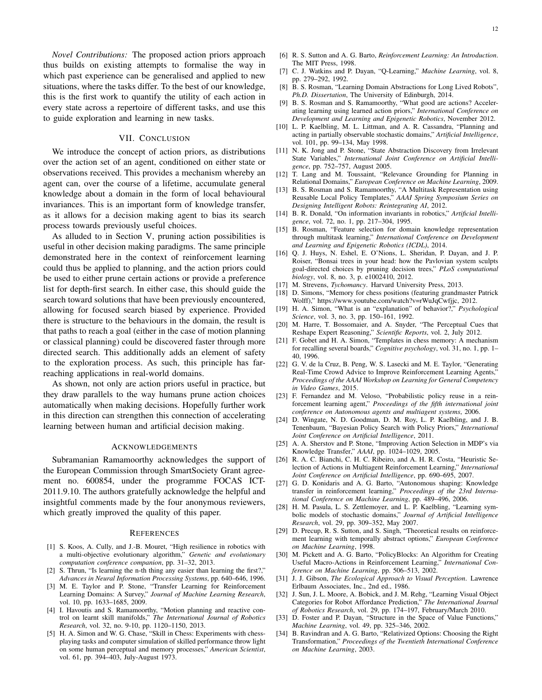*Novel Contributions:* The proposed action priors approach thus builds on existing attempts to formalise the way in which past experience can be generalised and applied to new situations, where the tasks differ. To the best of our knowledge, this is the first work to quantify the utility of each action in every state across a repertoire of different tasks, and use this to guide exploration and learning in new tasks.

## VII. CONCLUSION

We introduce the concept of action priors, as distributions over the action set of an agent, conditioned on either state or observations received. This provides a mechanism whereby an agent can, over the course of a lifetime, accumulate general knowledge about a domain in the form of local behavioural invariances. This is an important form of knowledge transfer, as it allows for a decision making agent to bias its search process towards previously useful choices.

As alluded to in Section V, pruning action possibilities is useful in other decision making paradigms. The same principle demonstrated here in the context of reinforcement learning could thus be applied to planning, and the action priors could be used to either prune certain actions or provide a preference list for depth-first search. In either case, this should guide the search toward solutions that have been previously encountered, allowing for focused search biased by experience. Provided there is structure to the behaviours in the domain, the result is that paths to reach a goal (either in the case of motion planning or classical planning) could be discovered faster through more directed search. This additionally adds an element of safety to the exploration process. As such, this principle has farreaching applications in real-world domains.

As shown, not only are action priors useful in practice, but they draw parallels to the way humans prune action choices automatically when making decisions. Hopefully further work in this direction can strengthen this connection of accelerating learning between human and artificial decision making.

# ACKNOWLEDGEMENTS

Subramanian Ramamoorthy acknowledges the support of the European Commission through SmartSociety Grant agreement no. 600854, under the programme FOCAS ICT-2011.9.10. The authors gratefully acknowledge the helpful and insightful comments made by the four anonymous reviewers, which greatly improved the quality of this paper.

#### **REFERENCES**

- [1] S. Koos, A. Cully, and J.-B. Mouret, "High resilience in robotics with a multi-objective evolutionary algorithm," *Genetic and evolutionary computation conference companion*, pp. 31–32, 2013.
- [2] S. Thrun, "Is learning the n-th thing any easier than learning the first?," *Advances in Neural Information Processing Systems*, pp. 640–646, 1996.
- [3] M. E. Taylor and P. Stone, "Transfer Learning for Reinforcement Learning Domains: A Survey," *Journal of Machine Learning Research*, vol. 10, pp. 1633–1685, 2009.
- [4] I. Havoutis and S. Ramamoorthy, "Motion planning and reactive control on learnt skill manifolds," *The International Journal of Robotics Research*, vol. 32, no. 9-10, pp. 1120–1150, 2013.
- [5] H. A. Simon and W. G. Chase, "Skill in Chess: Experiments with chessplaying tasks and computer simulation of skilled performance throw light on some human perceptual and memory processes," *American Scientist*, vol. 61, pp. 394–403, July-August 1973.
- [6] R. S. Sutton and A. G. Barto, *Reinforcement Learning: An Introduction*. The MIT Press, 1998.
- [7] C. J. Watkins and P. Dayan, "Q-Learning," *Machine Learning*, vol. 8, pp. 279–292, 1992.
- [8] B. S. Rosman, "Learning Domain Abstractions for Long Lived Robots", *Ph.D. Dissertation*, The University of Edinburgh, 2014.
- [9] B. S. Rosman and S. Ramamoorthy, "What good are actions? Accelerating learning using learned action priors," *International Conference on Development and Learning and Epigenetic Robotics*, November 2012.
- [10] L. P. Kaelbling, M. L. Littman, and A. R. Cassandra, "Planning and acting in partially observable stochastic domains," *Artificial Intelligence*, vol. 101, pp. 99–134, May 1998.
- [11] N. K. Jong and P. Stone, "State Abstraction Discovery from Irrelevant State Variables," *International Joint Conference on Artificial Intelligence*, pp. 752–757, August 2005.
- [12] T. Lang and M. Toussaint, "Relevance Grounding for Planning in Relational Domains," *European Conference on Machine Learning*, 2009.
- [13] B. S. Rosman and S. Ramamoorthy, "A Multitask Representation using Reusable Local Policy Templates," *AAAI Spring Symposium Series on Designing Intelligent Robots: Reintegrating AI*, 2012.
- [14] B. R. Donald, "On information invariants in robotics," *Artificial Intelligence*, vol. 72, no. 1, pp. 217–304, 1995.
- [15] B. Rosman, "Feature selection for domain knowledge representation through multitask learning," *International Conference on Development and Learning and Epigenetic Robotics (ICDL)*, 2014.
- [16] Q. J. Huys, N. Eshel, E. O'Nions, L. Sheridan, P. Dayan, and J. P. Roiser, "Bonsai trees in your head: how the Pavlovian system sculpts goal-directed choices by pruning decision trees," *PLoS computational biology*, vol. 8, no. 3, p. e1002410, 2012.
- [17] M. Strevens, *Tychomancy*. Harvard University Press, 2013.
- [18] D. Simons, "Memory for chess positions (featuring grandmaster Patrick Wolff)," https://www.youtube.com/watch?v=rWuJqCwfjjc, 2012.
- [19] H. A. Simon, "What is an "explanation" of behavior?," *Psychological Science*, vol. 3, no. 3, pp. 150–161, 1992.
- [20] M. Harre, T. Bossomaier, and A. Snyder, "The Perceptual Cues that Reshape Expert Reasoning," *Scientific Reports*, vol. 2, July 2012.
- [21] F. Gobet and H. A. Simon, "Templates in chess memory: A mechanism for recalling several boards," *Cognitive psychology*, vol. 31, no. 1, pp. 1– 40, 1996.
- [22] G. V. de la Cruz, B. Peng, W. S. Lasecki and M. E. Taylor, "Generating Real-Time Crowd Advice to Improve Reinforcement Learning Agents,' *Proceedings of the AAAI Workshop on Learning for General Competency in Video Games*, 2015.
- [23] F. Fernandez and M. Veloso, "Probabilistic policy reuse in a reinforcement learning agent," *Proceedings of the fifth international joint conference on Autonomous agents and multiagent systems*, 2006.
- [24] D. Wingate, N. D. Goodman, D. M. Roy, L. P. Kaelbling, and J. B. Tenenbaum, "Bayesian Policy Search with Policy Priors," *International Joint Conference on Artificial Intelligence*, 2011.
- [25] A. A. Sherstov and P. Stone, "Improving Action Selection in MDP's via Knowledge Transfer," *AAAI*, pp. 1024–1029, 2005.
- [26] R. A. C. Bianchi, C. H. C. Ribeiro, and A. H. R. Costa, "Heuristic Selection of Actions in Multiagent Reinforcement Learning," *International Joint Conference on Artificial Intelligence*, pp. 690–695, 2007.
- [27] G. D. Konidaris and A. G. Barto, "Autonomous shaping: Knowledge transfer in reinforcement learning," *Proceedings of the 23rd International Conference on Machine Learning*, pp. 489–496, 2006.
- [28] H. M. Pasula, L. S. Zettlemoyer, and L. P. Kaelbling, "Learning symbolic models of stochastic domains," *Journal of Artificial Intelligence Research*, vol. 29, pp. 309–352, May 2007.
- [29] D. Precup, R. S. Sutton, and S. Singh, "Theoretical results on reinforcement learning with temporally abstract options," *European Conference on Machine Learning*, 1998.
- [30] M. Pickett and A. G. Barto, "PolicyBlocks: An Algorithm for Creating Useful Macro-Actions in Reinforcement Learning," *International Conference on Machine Learning*, pp. 506–513, 2002.
- [31] J. J. Gibson, *The Ecological Approach to Visual Perception*. Lawrence Erlbaum Associates, Inc., 2nd ed., 1986.
- [32] J. Sun, J. L. Moore, A. Bobick, and J. M. Rehg, "Learning Visual Object Categories for Robot Affordance Prediction," *The International Journal of Robotics Research*, vol. 29, pp. 174–197, February/March 2010.
- [33] D. Foster and P. Dayan, "Structure in the Space of Value Functions," *Machine Learning*, vol. 49, pp. 325–346, 2002.
- [34] B. Ravindran and A. G. Barto, "Relativized Options: Choosing the Right Transformation," *Proceedings of the Twentieth International Conference on Machine Learning*, 2003.